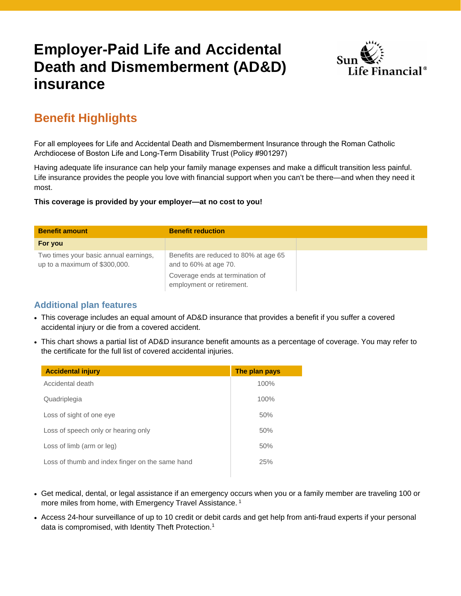## **Employer-Paid Life and Accidental Death and Dismemberment (AD&D) insurance**



### **Benefit Highlights**

For all employees for Life and Accidental Death and Dismemberment Insurance through the Roman Catholic Archdiocese of Boston Life and Long-Term Disability Trust (Policy #901297)

Having adequate life insurance can help your family manage expenses and make a difficult transition less painful. Life insurance provides the people you love with financial support when you can't be there—and when they need it most.

**This coverage is provided by your employer—at no cost to you!** 

| <b>Benefit amount</b>                                                  | <b>Benefit reduction</b>                                       |
|------------------------------------------------------------------------|----------------------------------------------------------------|
| For you                                                                |                                                                |
| Two times your basic annual earnings,<br>up to a maximum of \$300,000. | Benefits are reduced to 80% at age 65<br>and to 60% at age 70. |
|                                                                        | Coverage ends at termination of<br>employment or retirement.   |

#### **Additional plan features**

- This coverage includes an equal amount of AD&D insurance that provides a benefit if you suffer a covered accidental injury or die from a covered accident.
- This chart shows a partial list of AD&D insurance benefit amounts as a percentage of coverage. You may refer to the certificate for the full list of covered accidental injuries.

| <b>Accidental injury</b>                        | The plan pays |
|-------------------------------------------------|---------------|
| Accidental death                                | 100%          |
| Quadriplegia                                    | 100%          |
| Loss of sight of one eye                        | 50%           |
| Loss of speech only or hearing only             | 50%           |
| Loss of limb (arm or leg)                       | 50%           |
| Loss of thumb and index finger on the same hand | 25%           |

- Get medical, dental, or legal assistance if an emergency occurs when you or a family member are traveling 100 or more miles from home, with Emergency Travel Assistance.<sup>1</sup>
- Access 24-hour surveillance of up to 10 credit or debit cards and get help from anti-fraud experts if your personal data is compromised, with Identity Theft Protection.<sup>1</sup>